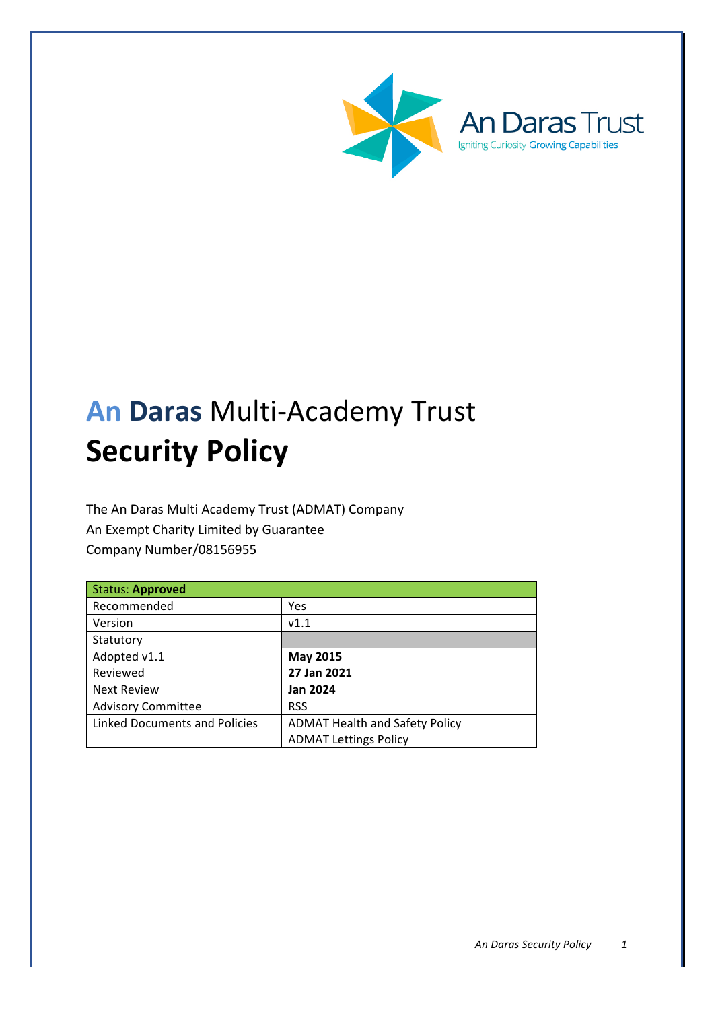



# **An Daras** Multi-Academy Trust **Security Policy**

The An Daras Multi Academy Trust (ADMAT) Company An Exempt Charity Limited by Guarantee Company Number/08156955

| <b>Status: Approved</b>              |                                       |
|--------------------------------------|---------------------------------------|
| Recommended                          | Yes                                   |
| Version                              | v1.1                                  |
| Statutory                            |                                       |
| Adopted v1.1                         | <b>May 2015</b>                       |
| Reviewed                             | 27 Jan 2021                           |
| <b>Next Review</b>                   | <b>Jan 2024</b>                       |
| <b>Advisory Committee</b>            | <b>RSS</b>                            |
| <b>Linked Documents and Policies</b> | <b>ADMAT Health and Safety Policy</b> |
|                                      | <b>ADMAT Lettings Policy</b>          |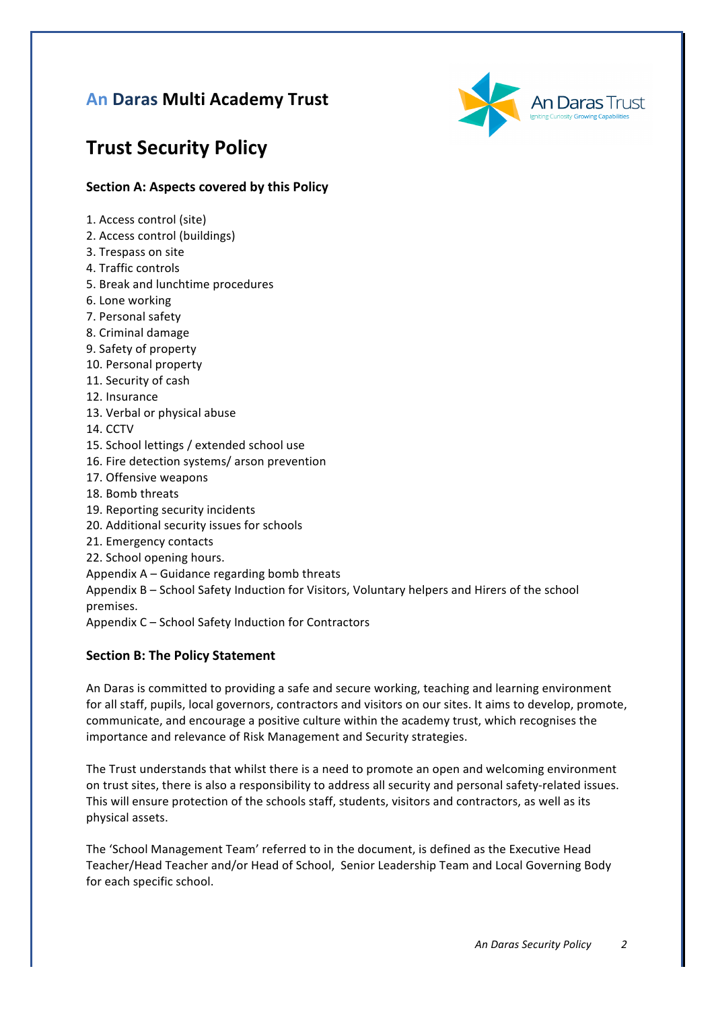# **An Daras Multi Academy Trust**



# **Trust Security Policy**

# **Section A: Aspects covered by this Policy**

- 1. Access control (site)
- 2. Access control (buildings)
- 3. Trespass on site
- 4. Traffic controls
- 5. Break and lunchtime procedures
- 6. Lone working
- 7. Personal safety
- 8. Criminal damage
- 9. Safety of property
- 10. Personal property
- 11. Security of cash
- 12. Insurance
- 13. Verbal or physical abuse
- 14. CCTV
- 15. School lettings / extended school use
- 16. Fire detection systems/ arson prevention
- 17. Offensive weapons
- 18. Bomb threats
- 19. Reporting security incidents
- 20. Additional security issues for schools
- 21. Emergency contacts
- 22. School opening hours.
- Appendix  $A G$ uidance regarding bomb threats

Appendix B - School Safety Induction for Visitors, Voluntary helpers and Hirers of the school premises.

Appendix C – School Safety Induction for Contractors

# **Section B: The Policy Statement**

An Daras is committed to providing a safe and secure working, teaching and learning environment for all staff, pupils, local governors, contractors and visitors on our sites. It aims to develop, promote, communicate, and encourage a positive culture within the academy trust, which recognises the importance and relevance of Risk Management and Security strategies.

The Trust understands that whilst there is a need to promote an open and welcoming environment on trust sites, there is also a responsibility to address all security and personal safety-related issues. This will ensure protection of the schools staff, students, visitors and contractors, as well as its physical assets. 

The 'School Management Team' referred to in the document, is defined as the Executive Head Teacher/Head Teacher and/or Head of School, Senior Leadership Team and Local Governing Body for each specific school.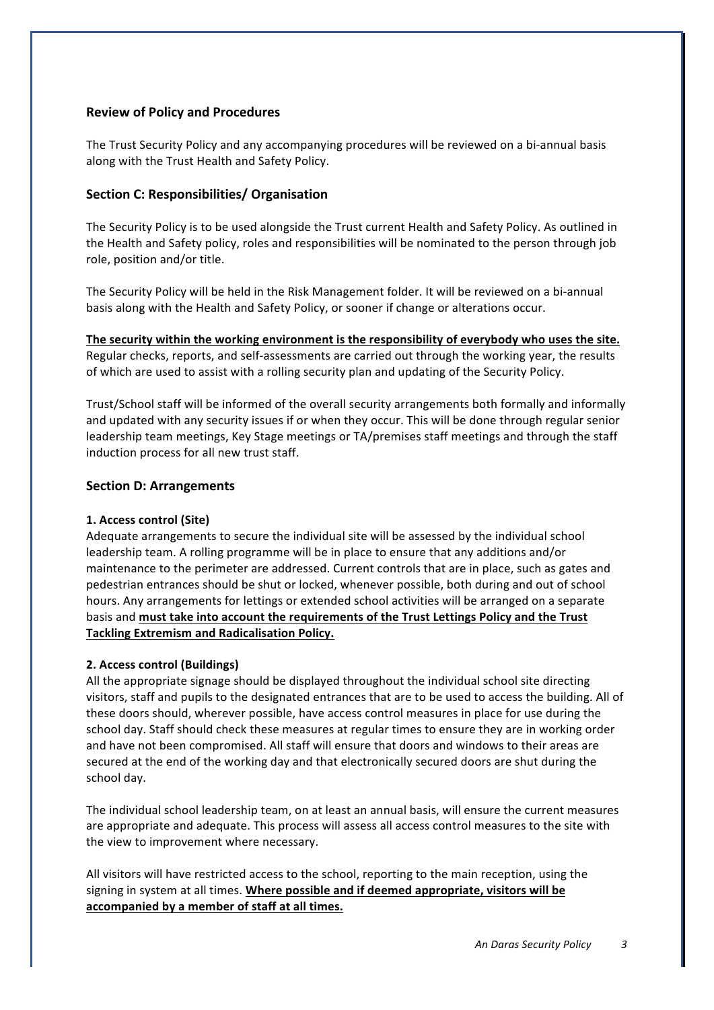# **Review of Policy and Procedures**

The Trust Security Policy and any accompanying procedures will be reviewed on a bi-annual basis along with the Trust Health and Safety Policy.

# **Section C: Responsibilities/ Organisation**

The Security Policy is to be used alongside the Trust current Health and Safety Policy. As outlined in the Health and Safety policy, roles and responsibilities will be nominated to the person through job role, position and/or title.

The Security Policy will be held in the Risk Management folder. It will be reviewed on a bi-annual basis along with the Health and Safety Policy, or sooner if change or alterations occur.

The security within the working environment is the responsibility of everybody who uses the site. Regular checks, reports, and self-assessments are carried out through the working year, the results of which are used to assist with a rolling security plan and updating of the Security Policy.

Trust/School staff will be informed of the overall security arrangements both formally and informally and updated with any security issues if or when they occur. This will be done through regular senior leadership team meetings, Key Stage meetings or TA/premises staff meetings and through the staff induction process for all new trust staff.

# **Section D: Arrangements**

# 1. Access control (Site)

Adequate arrangements to secure the individual site will be assessed by the individual school leadership team. A rolling programme will be in place to ensure that any additions and/or maintenance to the perimeter are addressed. Current controls that are in place, such as gates and pedestrian entrances should be shut or locked, whenever possible, both during and out of school hours. Any arrangements for lettings or extended school activities will be arranged on a separate basis and must take into account the requirements of the Trust Lettings Policy and the Trust **Tackling Extremism and Radicalisation Policy.** 

#### **2. Access control (Buildings)**

All the appropriate signage should be displayed throughout the individual school site directing visitors, staff and pupils to the designated entrances that are to be used to access the building. All of these doors should, wherever possible, have access control measures in place for use during the school day. Staff should check these measures at regular times to ensure they are in working order and have not been compromised. All staff will ensure that doors and windows to their areas are secured at the end of the working day and that electronically secured doors are shut during the school dav.

The individual school leadership team, on at least an annual basis, will ensure the current measures are appropriate and adequate. This process will assess all access control measures to the site with the view to improvement where necessary.

All visitors will have restricted access to the school, reporting to the main reception, using the signing in system at all times. Where possible and if deemed appropriate, visitors will be accompanied by a member of staff at all times.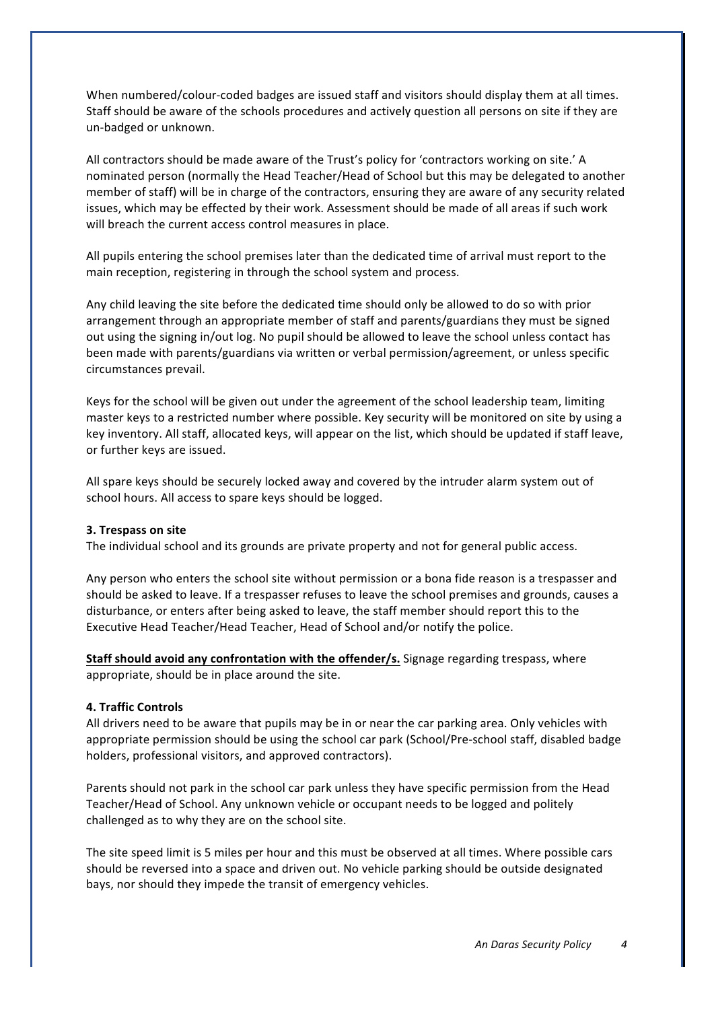When numbered/colour-coded badges are issued staff and visitors should display them at all times. Staff should be aware of the schools procedures and actively question all persons on site if they are un-badged or unknown. 

All contractors should be made aware of the Trust's policy for 'contractors working on site.' A nominated person (normally the Head Teacher/Head of School but this may be delegated to another member of staff) will be in charge of the contractors, ensuring they are aware of any security related issues, which may be effected by their work. Assessment should be made of all areas if such work will breach the current access control measures in place.

All pupils entering the school premises later than the dedicated time of arrival must report to the main reception, registering in through the school system and process.

Any child leaving the site before the dedicated time should only be allowed to do so with prior arrangement through an appropriate member of staff and parents/guardians they must be signed out using the signing in/out log. No pupil should be allowed to leave the school unless contact has been made with parents/guardians via written or verbal permission/agreement, or unless specific circumstances prevail. 

Keys for the school will be given out under the agreement of the school leadership team, limiting master keys to a restricted number where possible. Key security will be monitored on site by using a key inventory. All staff, allocated keys, will appear on the list, which should be updated if staff leave, or further keys are issued.

All spare keys should be securely locked away and covered by the intruder alarm system out of school hours. All access to spare keys should be logged.

#### **3.** Trespass on site

The individual school and its grounds are private property and not for general public access.

Any person who enters the school site without permission or a bona fide reason is a trespasser and should be asked to leave. If a trespasser refuses to leave the school premises and grounds, causes a disturbance, or enters after being asked to leave, the staff member should report this to the Executive Head Teacher/Head Teacher, Head of School and/or notify the police.

**Staff should avoid any confrontation with the offender/s.** Signage regarding trespass, where appropriate, should be in place around the site.

## **4. Traffic Controls**

All drivers need to be aware that pupils may be in or near the car parking area. Only vehicles with appropriate permission should be using the school car park (School/Pre-school staff, disabled badge holders, professional visitors, and approved contractors).

Parents should not park in the school car park unless they have specific permission from the Head Teacher/Head of School. Any unknown vehicle or occupant needs to be logged and politely challenged as to why they are on the school site.

The site speed limit is 5 miles per hour and this must be observed at all times. Where possible cars should be reversed into a space and driven out. No vehicle parking should be outside designated bays, nor should they impede the transit of emergency vehicles.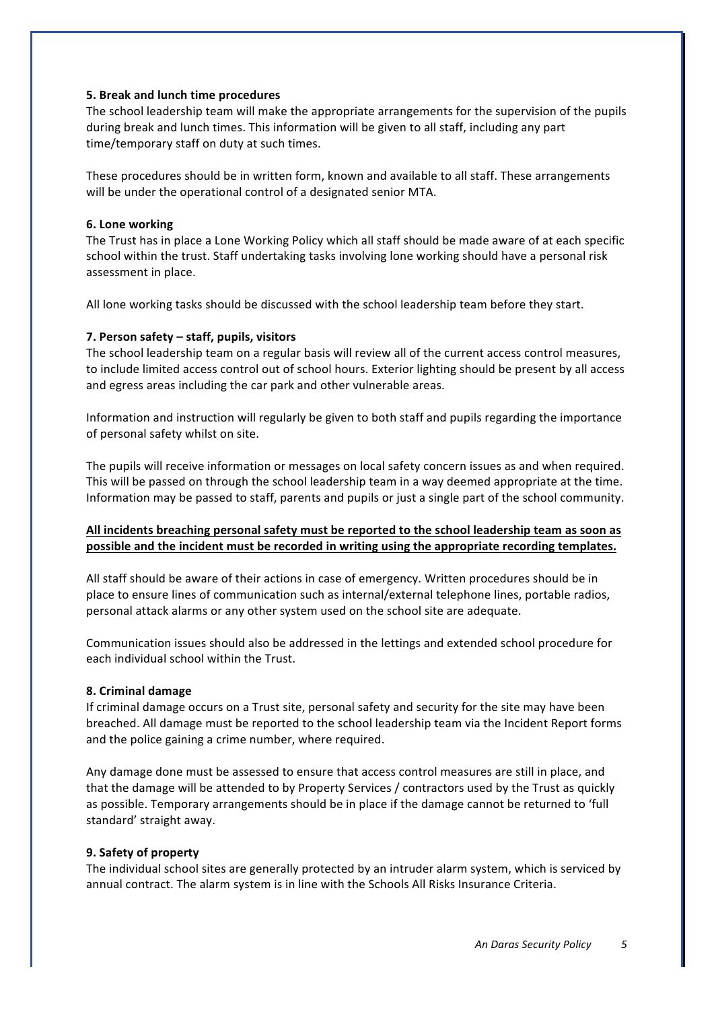# **5.** Break and lunch time procedures

The school leadership team will make the appropriate arrangements for the supervision of the pupils during break and lunch times. This information will be given to all staff, including any part time/temporary staff on duty at such times.

These procedures should be in written form, known and available to all staff. These arrangements will be under the operational control of a designated senior MTA.

## **6. Lone working**

The Trust has in place a Lone Working Policy which all staff should be made aware of at each specific school within the trust. Staff undertaking tasks involving lone working should have a personal risk assessment in place.

All lone working tasks should be discussed with the school leadership team before they start.

# **7. Person safety – staff, pupils, visitors**

The school leadership team on a regular basis will review all of the current access control measures, to include limited access control out of school hours. Exterior lighting should be present by all access and egress areas including the car park and other vulnerable areas.

Information and instruction will regularly be given to both staff and pupils regarding the importance of personal safety whilst on site.

The pupils will receive information or messages on local safety concern issues as and when required. This will be passed on through the school leadership team in a way deemed appropriate at the time. Information may be passed to staff, parents and pupils or just a single part of the school community.

# All incidents breaching personal safety must be reported to the school leadership team as soon as possible and the incident must be recorded in writing using the appropriate recording templates.

All staff should be aware of their actions in case of emergency. Written procedures should be in place to ensure lines of communication such as internal/external telephone lines, portable radios, personal attack alarms or any other system used on the school site are adequate.

Communication issues should also be addressed in the lettings and extended school procedure for each individual school within the Trust.

#### **8. Criminal damage**

If criminal damage occurs on a Trust site, personal safety and security for the site may have been breached. All damage must be reported to the school leadership team via the Incident Report forms and the police gaining a crime number, where required.

Any damage done must be assessed to ensure that access control measures are still in place, and that the damage will be attended to by Property Services / contractors used by the Trust as quickly as possible. Temporary arrangements should be in place if the damage cannot be returned to 'full standard' straight away.

#### **9.** Safety of property

The individual school sites are generally protected by an intruder alarm system, which is serviced by annual contract. The alarm system is in line with the Schools All Risks Insurance Criteria.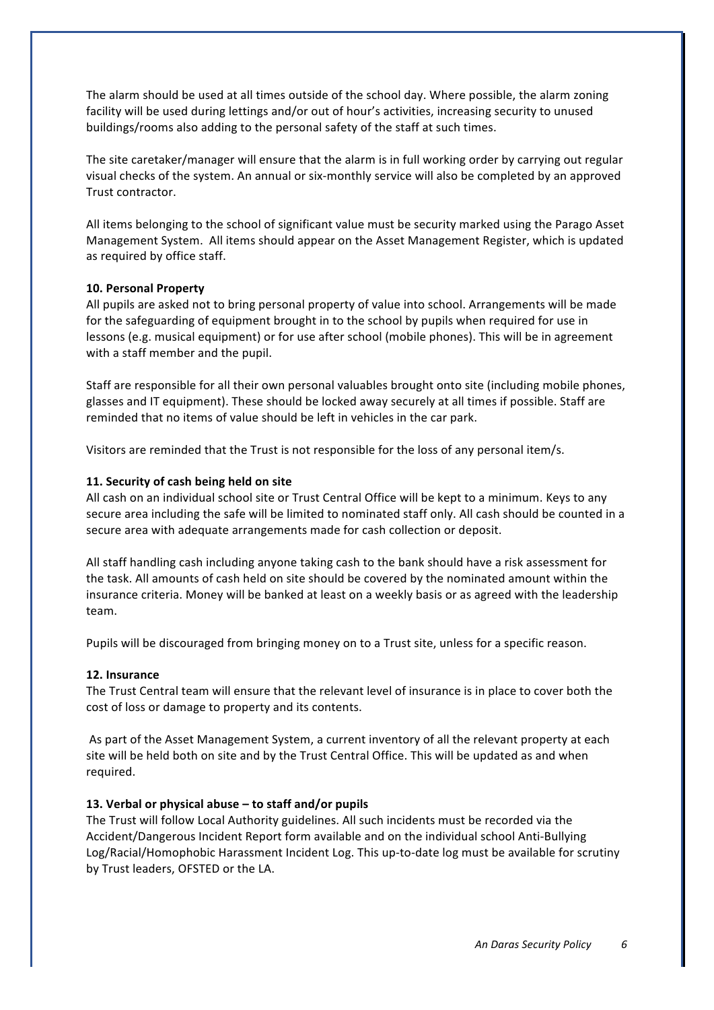The alarm should be used at all times outside of the school day. Where possible, the alarm zoning facility will be used during lettings and/or out of hour's activities, increasing security to unused buildings/rooms also adding to the personal safety of the staff at such times.

The site caretaker/manager will ensure that the alarm is in full working order by carrying out regular visual checks of the system. An annual or six-monthly service will also be completed by an approved Trust contractor.

All items belonging to the school of significant value must be security marked using the Parago Asset Management System. All items should appear on the Asset Management Register, which is updated as required by office staff.

#### **10. Personal Property**

All pupils are asked not to bring personal property of value into school. Arrangements will be made for the safeguarding of equipment brought in to the school by pupils when required for use in lessons (e.g. musical equipment) or for use after school (mobile phones). This will be in agreement with a staff member and the pupil.

Staff are responsible for all their own personal valuables brought onto site (including mobile phones, glasses and IT equipment). These should be locked away securely at all times if possible. Staff are reminded that no items of value should be left in vehicles in the car park.

Visitors are reminded that the Trust is not responsible for the loss of any personal item/s.

# 11. Security of cash being held on site

All cash on an individual school site or Trust Central Office will be kept to a minimum. Keys to any secure area including the safe will be limited to nominated staff only. All cash should be counted in a secure area with adequate arrangements made for cash collection or deposit.

All staff handling cash including anyone taking cash to the bank should have a risk assessment for the task. All amounts of cash held on site should be covered by the nominated amount within the insurance criteria. Money will be banked at least on a weekly basis or as agreed with the leadership team. 

Pupils will be discouraged from bringing money on to a Trust site, unless for a specific reason.

#### **12. Insurance**

The Trust Central team will ensure that the relevant level of insurance is in place to cover both the cost of loss or damage to property and its contents.

As part of the Asset Management System, a current inventory of all the relevant property at each site will be held both on site and by the Trust Central Office. This will be updated as and when required. 

# 13. Verbal or physical abuse – to staff and/or pupils

The Trust will follow Local Authority guidelines. All such incidents must be recorded via the Accident/Dangerous Incident Report form available and on the individual school Anti-Bullying Log/Racial/Homophobic Harassment Incident Log. This up-to-date log must be available for scrutiny by Trust leaders, OFSTED or the LA.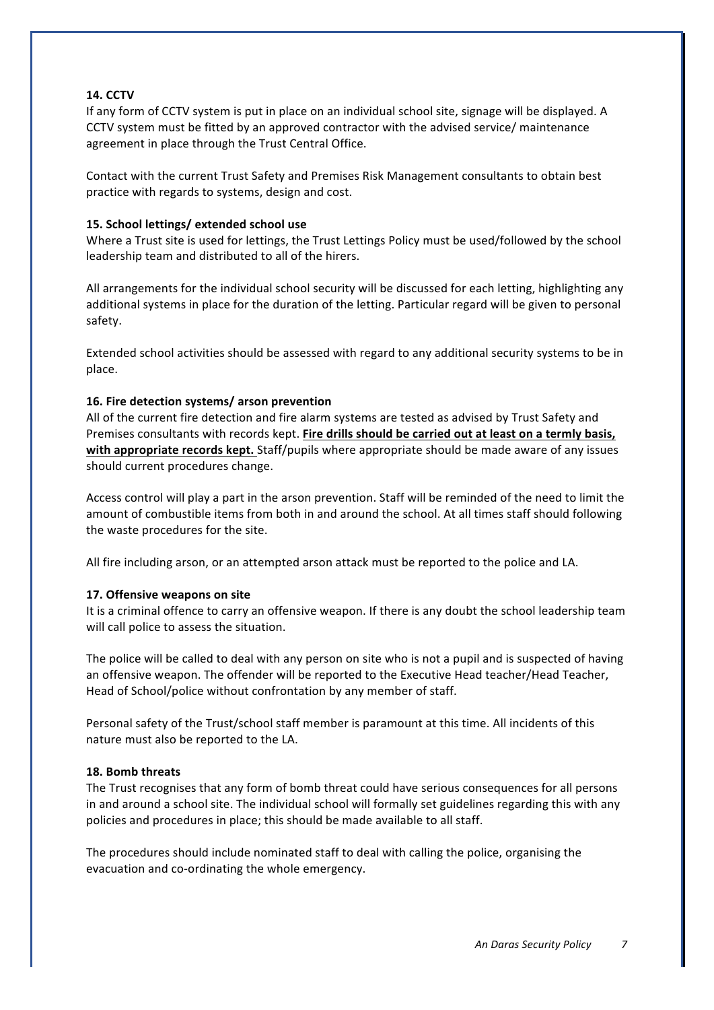# **14. CCTV**

If any form of CCTV system is put in place on an individual school site, signage will be displayed. A CCTV system must be fitted by an approved contractor with the advised service/ maintenance agreement in place through the Trust Central Office.

Contact with the current Trust Safety and Premises Risk Management consultants to obtain best practice with regards to systems, design and cost.

## 15. School lettings/ extended school use

Where a Trust site is used for lettings, the Trust Lettings Policy must be used/followed by the school leadership team and distributed to all of the hirers.

All arrangements for the individual school security will be discussed for each letting, highlighting any additional systems in place for the duration of the letting. Particular regard will be given to personal safety. 

Extended school activities should be assessed with regard to any additional security systems to be in place. 

#### 16. Fire detection systems/ arson prevention

All of the current fire detection and fire alarm systems are tested as advised by Trust Safety and Premises consultants with records kept. Fire drills should be carried out at least on a termly basis, with appropriate records kept. Staff/pupils where appropriate should be made aware of any issues should current procedures change.

Access control will play a part in the arson prevention. Staff will be reminded of the need to limit the amount of combustible items from both in and around the school. At all times staff should following the waste procedures for the site.

All fire including arson, or an attempted arson attack must be reported to the police and LA.

#### 17. Offensive weapons on site

It is a criminal offence to carry an offensive weapon. If there is any doubt the school leadership team will call police to assess the situation.

The police will be called to deal with any person on site who is not a pupil and is suspected of having an offensive weapon. The offender will be reported to the Executive Head teacher/Head Teacher, Head of School/police without confrontation by any member of staff.

Personal safety of the Trust/school staff member is paramount at this time. All incidents of this nature must also be reported to the LA.

#### **18. Bomb threats**

The Trust recognises that any form of bomb threat could have serious consequences for all persons in and around a school site. The individual school will formally set guidelines regarding this with any policies and procedures in place; this should be made available to all staff.

The procedures should include nominated staff to deal with calling the police, organising the evacuation and co-ordinating the whole emergency.